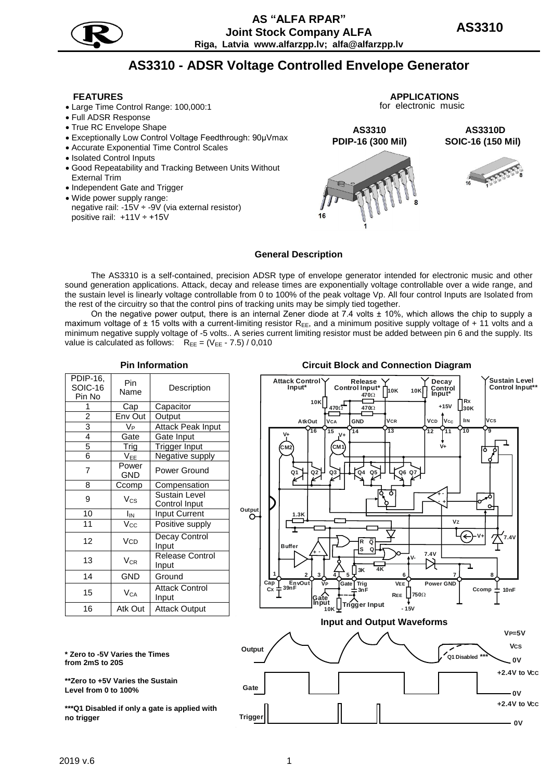

# **AS3310 - ADSR Voltage Controlled Envelope Generator**

- Large Time Control Range: 100,000:1
- Full ADSR Response
- True RC Envelope Shape
- Exceptionally Low Control Voltage Feedthrough: 90µVmax
- Accurate Exponential Time Control Scales
- Isolated Control Inputs
- Good Repeatability and Tracking Between Units Without External Trim
- Independent Gate and Trigger
- Wide power supply range: negative rail:  $-15V \div -9V$  (via external resistor) positive rail: +11V ÷ +15V







#### **General Description**

The AS3310 is a self-contained, precision ADSR type of envelope generator intended for electronic music and other sound generation applications. Attack, decay and release times are exponentially voltage controllable over a wide range, and the sustain level is linearly voltage controllable from 0 to 100% of the peak voltage Vp. All four control Inputs are Isolated from the rest of the circuitry so that the control pins of tracking units may be simply tied together.

On the negative power output, there is an internal Zener diode at 7.4 volts ± 10%, which allows the chip to supply a maximum voltage of  $\pm$  15 volts with a current-limiting resistor R<sub>EE</sub>, and a minimum positive supply voltage of  $+$  11 volts and a minimum negative supply voltage of -5 volts.. A series current limiting resistor must be added between pin 6 and the supply. Its value is calculated as follows:  $R_{EE} = (V_{EE} - 7.5) / 0.010$ 

| PDIP-16,<br><b>SOIC-16</b><br>Pin No | Pin<br>Name         | Description                    |  |  |
|--------------------------------------|---------------------|--------------------------------|--|--|
| 1                                    | Cap                 | Capacitor                      |  |  |
| $\overline{2}$                       | Env Out             | Output                         |  |  |
| 3                                    | V <sub>P</sub>      | Attack Peak Input              |  |  |
| 4                                    | Gate                | Gate Input                     |  |  |
| 5                                    | Trig                | Trigger Input                  |  |  |
| 6                                    | V <sub>EE</sub>     | Negative supply                |  |  |
| 7                                    | Power<br><b>GND</b> | Power Ground                   |  |  |
| 8                                    | Ccomp               | Compensation                   |  |  |
| 9                                    | $V_{CS}$            | Sustain Level<br>Control Input |  |  |
| 10                                   | Iм                  | <b>Input Current</b>           |  |  |
| 11                                   | $V_{\rm CC}$        | Positive supply                |  |  |
| 12                                   | <b>VCD</b>          | Decay Control<br>Input         |  |  |
| 13                                   | $V_{CR}$            | Release Control<br>Input       |  |  |
| 14                                   | <b>GND</b>          | Ground                         |  |  |
| 15                                   | $V_{CA}$            | <b>Attack Control</b><br>Input |  |  |
| 16                                   | Atk Out             | Attack Output                  |  |  |

# **Pin Information Circuit Block and Connection Diagram**



**\* Zero to -5V Varies the Times from 2mS to 20S**

**\*\*Zero to +5V Varies the Sustain Level from 0 to 100%**

**\*\*\*Q1 Disabled if only a gate is applied with no trigger**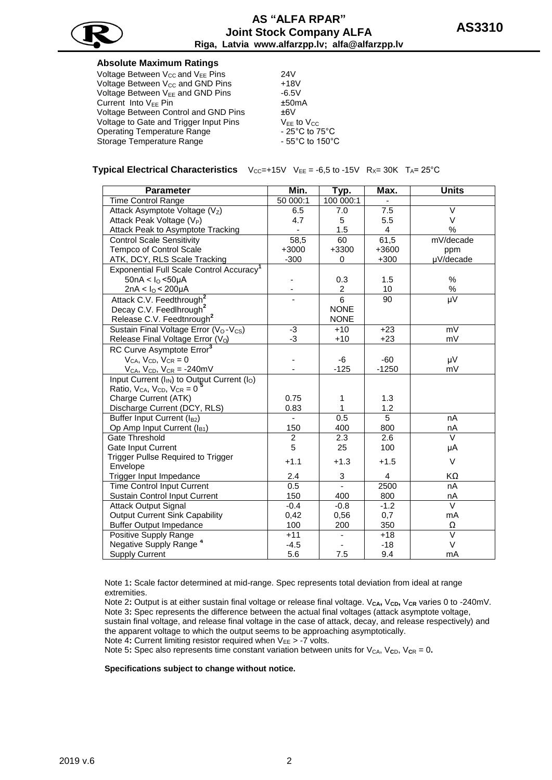

# **Absolute Maximum Ratings**

| Voltage Between $V_{CC}$ and $V_{EE}$ Pins   | 24V                                  |
|----------------------------------------------|--------------------------------------|
| Voltage Between V <sub>CC</sub> and GND Pins | $+18V$                               |
| Voltage Between V <sub>FF</sub> and GND Pins | $-6.5V$                              |
| Current Into V <sub>EE</sub> Pin             | ±50mA                                |
| Voltage Between Control and GND Pins         | ±6V                                  |
| Voltage to Gate and Trigger Input Pins       | $V_{FF}$ to $V_{CC}$                 |
| Operating Temperature Range                  | - 25 $^{\circ}$ C to 75 $^{\circ}$ C |
| Storage Temperature Range                    | $-55^{\circ}$ C to 150 $^{\circ}$ C  |
|                                              |                                      |

### **Typical Electrical Characteristics**  $V_{CC}=+15V$   $V_{EE}= -6.5$  to  $-15V$   $R_{X}= 30K$   $T_A= 25°C$

| <b>Parameter</b>                                                     | Min.           | Typ.                    | Max.                    | <b>Units</b>      |
|----------------------------------------------------------------------|----------------|-------------------------|-------------------------|-------------------|
| Time Control Range                                                   | 50 000:1       | 100 000:1               | $\blacksquare$          |                   |
| Attack Asymptote Voltage (Vz)                                        | 6.5            | 7.0                     | 7.5                     | $\vee$            |
| Attack Peak Voltage (V <sub>P</sub> )                                | 4.7            | 5                       | 5.5                     | V                 |
| Attack Peak to Asymptote Tracking                                    |                | 1.5                     | 4                       | $\%$              |
| <b>Control Scale Sensitivity</b>                                     | 58,5           | 60                      | 61,5                    | mV/decade         |
| Tempco of Control Scale                                              | $+3000$        | +3300                   | +3600                   | ppm               |
| ATK, DCY, RLS Scale Tracking                                         | $-300$         | 0                       | $+300$                  | µV/decade         |
| Exponential Full Scale Control Accuracy <sup>1</sup>                 |                |                         |                         |                   |
| $50nA < I_0 < 50\mu A$                                               |                | 0.3                     | 1.5                     | %                 |
| 2nA < $I_0$ < 200 $\mu$ A                                            |                | $\overline{\mathbf{c}}$ | 10                      | $\%$              |
| Attack C.V. Feedthrough <sup>2</sup>                                 |                | 6                       | 90                      | μV                |
| Decay C.V. Feedlhrough <sup>2</sup>                                  |                | <b>NONE</b>             |                         |                   |
| Release C.V. Feedtnrough <sup>2</sup>                                |                | <b>NONE</b>             |                         |                   |
| Sustain Final Voltage Error (V <sub>O</sub> -V <sub>CS</sub> )       | $-3$           | $+10$                   | $+23$                   | mV                |
| Release Final Voltage Error (Vo)                                     | $-3$           | $+10$                   | $+23$                   | mV                |
| RC Curve Asymptote Error <sup>3</sup>                                |                |                         |                         |                   |
| $V_{CA}$ , $V_{CD}$ , $V_{CR} = 0$                                   |                | -6                      | $-60$                   | μV                |
| $V_{CA}$ , $V_{CD}$ , $V_{CR} = -240$ mV                             |                | $-125$                  | $-1250$                 | mV                |
| Input Current (I <sub>IN</sub> ) to Output Current (I <sub>O</sub> ) |                |                         |                         |                   |
| Ratio, $V_{CA}$ , $V_{CD}$ , $V_{CR} = 0$                            |                |                         |                         |                   |
| Charge Current (ATK)                                                 | 0.75           | 1                       | 1.3                     |                   |
| Discharge Current (DCY, RLS)                                         | 0.83           | 1                       | 1.2                     |                   |
| Buffer Input Current (I <sub>B2</sub> )                              |                | 0.5                     | 5                       | nA                |
| Op Amp Input Current (I <sub>B1</sub> )                              | 150            | 400                     | 800                     | nA                |
| Gate Threshold                                                       | $\overline{c}$ | 2.3                     | 2.6                     | $\vee$            |
| <b>Gate Input Current</b>                                            | 5              | 25                      | 100                     | μA                |
| <b>Trigger Pullse Required to Trigger</b>                            | $+1.1$         | $+1.3$                  | $+1.5$                  | V                 |
| Envelope                                                             |                |                         |                         |                   |
| Trigger Input Impedance                                              | 2.4            | 3                       | $\overline{\mathbf{4}}$ | KΩ                |
| <b>Time Control Input Current</b>                                    | 0.5            | $\blacksquare$          | 2500                    | nA                |
| Sustain Control Input Current                                        | 150            | 400                     | 800                     | nA                |
| <b>Attack Output Signal</b>                                          | $-0.4$         | $-0.8$                  | $-1.2$                  | $\vee$            |
| <b>Output Current Sink Capability</b>                                | 0,42           | 0,56                    | 0,7                     | mA                |
| <b>Buffer Output Impedance</b>                                       | 100            | 200                     | 350                     | Ω                 |
| Positive Supply Range                                                | $+11$          |                         | $+18$                   | $\overline{\vee}$ |
| Negative Supply Range <sup>4</sup>                                   | $-4.5$         |                         | $-18$                   | V                 |
| <b>Supply Current</b>                                                | 5.6            | 7.5                     | 9.4                     | mA                |

Note 1**:** Scale factor determined at mid-range. Spec represents total deviation from ideal at range extremities.

Note 2: Output is at either sustain final voltage or release final voltage. V<sub>CA</sub>, V<sub>CD</sub>, V<sub>CR</sub> varies 0 to -240mV. Note 3**:** Spec represents the difference between the actual final voltages (attack asymptote voltage, sustain final voltage, and release final voltage in the case of attack, decay, and release respectively) and the apparent voltage to which the output seems to be approaching asymptotically.

Note 4: Current limiting resistor required when V<sub>EE</sub> > -7 volts.

Note 5: Spec also represents time constant variation between units for  $V_{CA}$ ,  $V_{CD}$ ,  $V_{CR} = 0$ .

**Specifications subject to change without notice.**